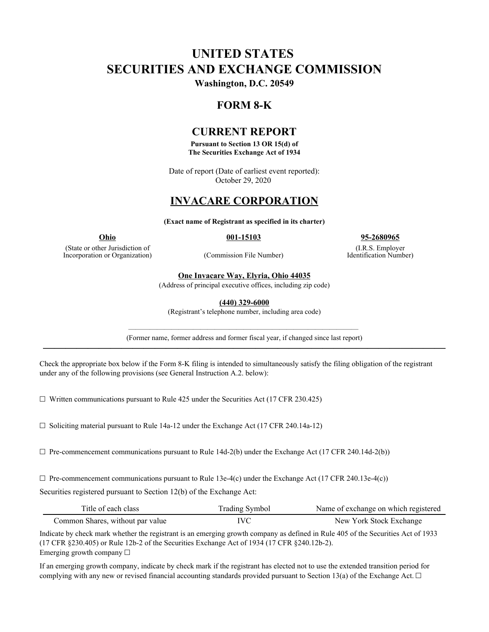# **UNITED STATES SECURITIES AND EXCHANGE COMMISSION**

**Washington, D.C. 20549**

# **FORM 8-K**

### **CURRENT REPORT**

**Pursuant to Section 13 OR 15(d) of The Securities Exchange Act of 1934**

Date of report (Date of earliest event reported): October 29, 2020

# **INVACARE CORPORATION**

**(Exact name of Registrant as specified in its charter)**

(State or other Jurisdiction of Incorporation or Organization) (Commission File Number)

**Ohio 001-15103 95-2680965**

(I.R.S. Employer Identification Number)

**One Invacare Way, Elyria, Ohio 44035**

(Address of principal executive offices, including zip code)

**(440) 329-6000**

(Registrant's telephone number, including area code)

———————————————————————————————— (Former name, former address and former fiscal year, if changed since last report) **————————————————————————————————————**

Check the appropriate box below if the Form 8-K filing is intended to simultaneously satisfy the filing obligation of the registrant under any of the following provisions (see General Instruction A.2. below):

 $\Box$  Written communications pursuant to Rule 425 under the Securities Act (17 CFR 230.425)

☐ Soliciting material pursuant to Rule 14a-12 under the Exchange Act (17 CFR 240.14a-12)

 $\Box$  Pre-commencement communications pursuant to Rule 14d-2(b) under the Exchange Act (17 CFR 240.14d-2(b))

 $\Box$  Pre-commencement communications pursuant to Rule 13e-4(c) under the Exchange Act (17 CFR 240.13e-4(c))

Securities registered pursuant to Section 12(b) of the Exchange Act:

| Title of each class              | <b>Trading Symbol</b> | Name of exchange on which registered |
|----------------------------------|-----------------------|--------------------------------------|
| Common Shares, without par value | IVC                   | New York Stock Exchange              |

Indicate by check mark whether the registrant is an emerging growth company as defined in Rule 405 of the Securities Act of 1933 (17 CFR §230.405) or Rule 12b-2 of the Securities Exchange Act of 1934 (17 CFR §240.12b-2). Emerging growth company ☐

If an emerging growth company, indicate by check mark if the registrant has elected not to use the extended transition period for complying with any new or revised financial accounting standards provided pursuant to Section 13(a) of the Exchange Act.  $\Box$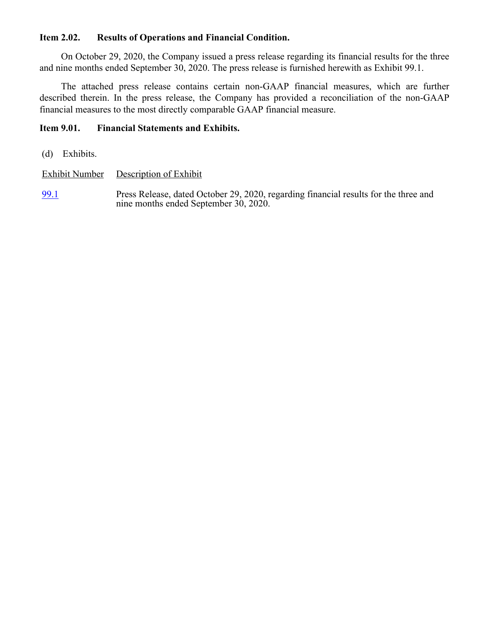### **Item 2.02. Results of Operations and Financial Condition.**

On October 29, 2020, the Company issued a press release regarding its financial results for the three and nine months ended September 30, 2020. The press release is furnished herewith as Exhibit 99.1.

The attached press release contains certain non-GAAP financial measures, which are further described therein. In the press release, the Company has provided a reconciliation of the non-GAAP financial measures to the most directly comparable GAAP financial measure.

### **Item 9.01. Financial Statements and Exhibits.**

(d) Exhibits.

Exhibit Number Description of Exhibit

[99.1](wurl://docs.v1/doc:de0b0ec9043d44d0b3ae1fff29d255c7) Press Release, dated October 29, 2020, regarding financial results for the three and nine months ended September 30, 2020.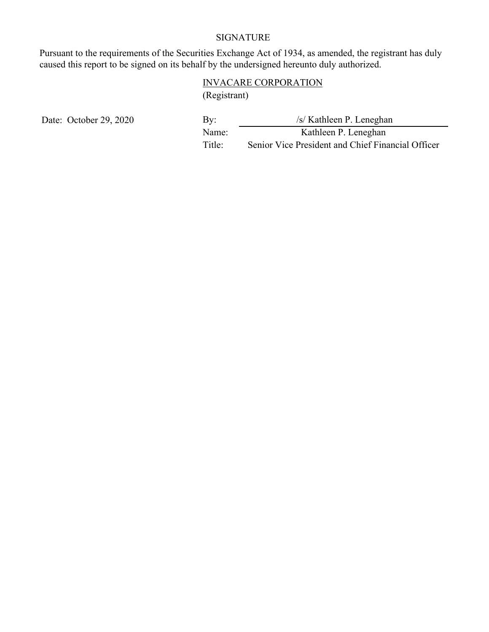# SIGNATURE

Pursuant to the requirements of the Securities Exchange Act of 1934, as amended, the registrant has duly caused this report to be signed on its behalf by the undersigned hereunto duly authorized.

# INVACARE CORPORATION (Registrant)

Date: October 29, 2020 By: *by:* /s/ Kathleen P. Leneghan Name: Kathleen P. Leneghan Title: Senior Vice President and Chief Financial Officer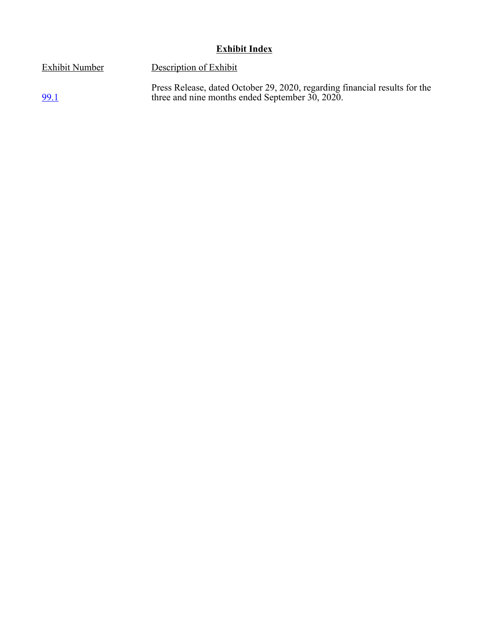# **Exhibit Index**

three and nine months ended September 30, 2020.

Press Release, dated October 29, 2020, regarding financial results for the

Exhibit Number Description of Exhibit

[99.1](wurl://docs.v1/doc:86c9eae6d2fd47e288e9ceb8d68ffe5f)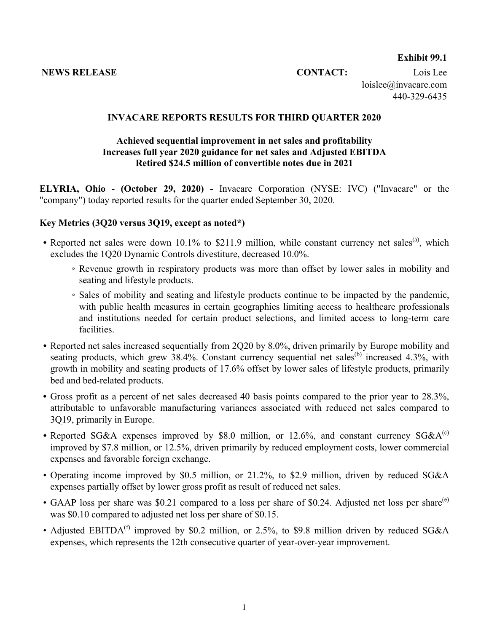#### **Exhibit 99.1**

**NEWS RELEASE CONTACT:** Lois Lee

loislee@invacare.com 440-329-6435

#### **INVACARE REPORTS RESULTS FOR THIRD QUARTER 2020**

### **Achieved sequential improvement in net sales and profitability Increases full year 2020 guidance for net sales and Adjusted EBITDA Retired \$24.5 million of convertible notes due in 2021**

**ELYRIA, Ohio - (October 29, 2020) -** Invacare Corporation (NYSE: IVC) ("Invacare" or the "company") today reported results for the quarter ended September 30, 2020.

#### **Key Metrics (3Q20 versus 3Q19, except as noted\*)**

- Reported net sales were down 10.1% to \$211.9 million, while constant currency net sales<sup>(a)</sup>, which excludes the 1Q20 Dynamic Controls divestiture, decreased 10.0%.
	- Revenue growth in respiratory products was more than offset by lower sales in mobility and seating and lifestyle products.
	- Sales of mobility and seating and lifestyle products continue to be impacted by the pandemic, with public health measures in certain geographies limiting access to healthcare professionals and institutions needed for certain product selections, and limited access to long-term care facilities.
- *•* Reported net sales increased sequentially from 2Q20 by 8.0%, driven primarily by Europe mobility and seating products, which grew  $38.4\%$ . Constant currency sequential net sales<sup>(b)</sup> increased  $4.3\%$ , with growth in mobility and seating products of 17.6% offset by lower sales of lifestyle products, primarily bed and bed-related products.
- **•** Gross profit as a percent of net sales decreased 40 basis points compared to the prior year to 28.3%, attributable to unfavorable manufacturing variances associated with reduced net sales compared to 3Q19, primarily in Europe.
- Reported SG&A expenses improved by \$8.0 million, or  $12.6\%$ , and constant currency SG&A<sup>(c)</sup> improved by \$7.8 million, or 12.5%, driven primarily by reduced employment costs, lower commercial expenses and favorable foreign exchange.
- Operating income improved by \$0.5 million, or 21.2%, to \$2.9 million, driven by reduced SG&A expenses partially offset by lower gross profit as result of reduced net sales.
- GAAP loss per share was \$0.21 compared to a loss per share of \$0.24. Adjusted net loss per share<sup>(e)</sup> was \$0.10 compared to adjusted net loss per share of \$0.15.
- Adjusted EBITDA<sup>(f)</sup> improved by \$0.2 million, or 2.5%, to \$9.8 million driven by reduced SG&A expenses, which represents the 12th consecutive quarter of year-over-year improvement.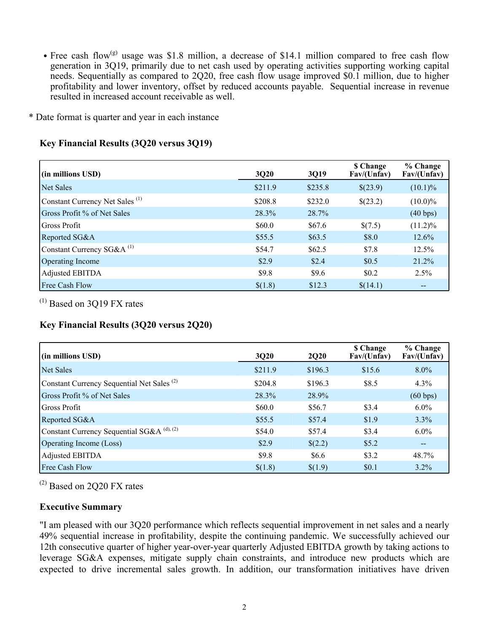- Free cash flow<sup>(g)</sup> usage was \$1.8 million, a decrease of \$14.1 million compared to free cash flow generation in 3Q19, primarily due to net cash used by operating activities supporting working capital needs. Sequentially as compared to 2Q20, free cash flow usage improved \$0.1 million, due to higher profitability and lower inventory, offset by reduced accounts payable. Sequential increase in revenue resulted in increased account receivable as well.
- \* Date format is quarter and year in each instance

### **Key Financial Results (3Q20 versus 3Q19)**

| (in millions USD)                          | 3Q20    | 3Q19    | <b>S</b> Change<br>Fav/(Unfav) | % Change<br>Fav/(Unfav) |
|--------------------------------------------|---------|---------|--------------------------------|-------------------------|
| <b>Net Sales</b>                           | \$211.9 | \$235.8 | \$(23.9)                       | $(10.1)\%$              |
| Constant Currency Net Sales <sup>(1)</sup> | \$208.8 | \$232.0 | \$(23.2)                       | $(10.0)\%$              |
| Gross Profit % of Net Sales                | 28.3%   | 28.7%   |                                | (40 bps)                |
| Gross Profit                               | \$60.0  | \$67.6  | \$(7.5)                        | $(11.2)\%$              |
| Reported SG&A                              | \$55.5  | \$63.5  | \$8.0                          | $12.6\%$                |
| Constant Currency $SG&A^{(1)}$             | \$54.7  | \$62.5  | \$7.8                          | 12.5%                   |
| Operating Income                           | \$2.9   | \$2.4   | \$0.5                          | 21.2%                   |
| Adjusted EBITDA                            | \$9.8   | \$9.6   | \$0.2                          | 2.5%                    |
| Free Cash Flow                             | \$(1.8) | \$12.3  | \$(14.1)                       |                         |

 $(1)$  Based on 3O19 FX rates

### **Key Financial Results (3Q20 versus 2Q20)**

| (in millions USD)                                     | 3Q20    | <b>2Q20</b> | <b>\$</b> Change<br>Fav/(Unfav) | $%$ Change<br>Fav/(Unfav) |
|-------------------------------------------------------|---------|-------------|---------------------------------|---------------------------|
| Net Sales                                             | \$211.9 | \$196.3     | \$15.6                          | $8.0\%$                   |
| Constant Currency Sequential Net Sales <sup>(2)</sup> | \$204.8 | \$196.3     | \$8.5                           | 4.3%                      |
| Gross Profit % of Net Sales                           | 28.3%   | 28.9%       |                                 | (60 bps)                  |
| Gross Profit                                          | \$60.0  | \$56.7      | \$3.4                           | $6.0\%$                   |
| Reported SG&A                                         | \$55.5  | \$57.4      | \$1.9                           | $3.3\%$                   |
| Constant Currency Sequential SG&A <sup>(d), (2)</sup> | \$54.0  | \$57.4      | \$3.4                           | $6.0\%$                   |
| <b>Operating Income (Loss)</b>                        | \$2.9   | \$(2.2)     | \$5.2\$                         | $- -$                     |
| Adjusted EBITDA                                       | \$9.8   | \$6.6       | \$3.2                           | 48.7%                     |
| <b>Free Cash Flow</b>                                 | \$(1.8) | \$(1.9)     | \$0.1                           | $3.2\%$                   |

(2) Based on 2Q20 FX rates

### **Executive Summary**

"I am pleased with our 3Q20 performance which reflects sequential improvement in net sales and a nearly 49% sequential increase in profitability, despite the continuing pandemic. We successfully achieved our 12th consecutive quarter of higher year-over-year quarterly Adjusted EBITDA growth by taking actions to leverage SG&A expenses, mitigate supply chain constraints, and introduce new products which are expected to drive incremental sales growth. In addition, our transformation initiatives have driven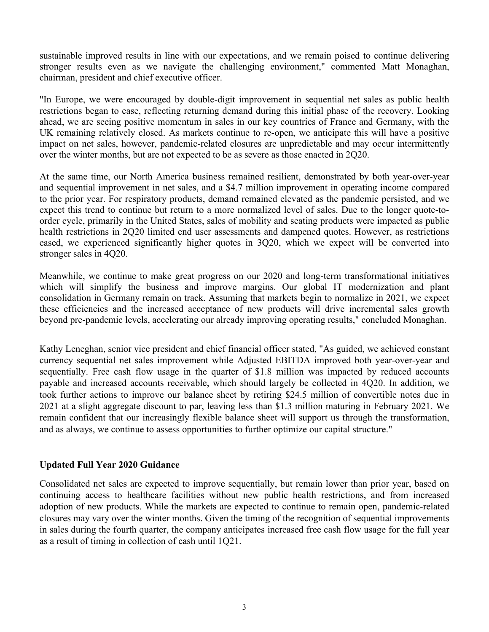sustainable improved results in line with our expectations, and we remain poised to continue delivering stronger results even as we navigate the challenging environment," commented Matt Monaghan, chairman, president and chief executive officer.

"In Europe, we were encouraged by double-digit improvement in sequential net sales as public health restrictions began to ease, reflecting returning demand during this initial phase of the recovery. Looking ahead, we are seeing positive momentum in sales in our key countries of France and Germany, with the UK remaining relatively closed. As markets continue to re-open, we anticipate this will have a positive impact on net sales, however, pandemic-related closures are unpredictable and may occur intermittently over the winter months, but are not expected to be as severe as those enacted in 2Q20.

At the same time, our North America business remained resilient, demonstrated by both year-over-year and sequential improvement in net sales, and a \$4.7 million improvement in operating income compared to the prior year. For respiratory products, demand remained elevated as the pandemic persisted, and we expect this trend to continue but return to a more normalized level of sales. Due to the longer quote-toorder cycle, primarily in the United States, sales of mobility and seating products were impacted as public health restrictions in 2Q20 limited end user assessments and dampened quotes. However, as restrictions eased, we experienced significantly higher quotes in 3Q20, which we expect will be converted into stronger sales in 4Q20.

Meanwhile, we continue to make great progress on our 2020 and long-term transformational initiatives which will simplify the business and improve margins. Our global IT modernization and plant consolidation in Germany remain on track. Assuming that markets begin to normalize in 2021, we expect these efficiencies and the increased acceptance of new products will drive incremental sales growth beyond pre-pandemic levels, accelerating our already improving operating results," concluded Monaghan.

Kathy Leneghan, senior vice president and chief financial officer stated, "As guided, we achieved constant currency sequential net sales improvement while Adjusted EBITDA improved both year-over-year and sequentially. Free cash flow usage in the quarter of \$1.8 million was impacted by reduced accounts payable and increased accounts receivable, which should largely be collected in 4Q20. In addition, we took further actions to improve our balance sheet by retiring \$24.5 million of convertible notes due in 2021 at a slight aggregate discount to par, leaving less than \$1.3 million maturing in February 2021. We remain confident that our increasingly flexible balance sheet will support us through the transformation, and as always, we continue to assess opportunities to further optimize our capital structure."

### **Updated Full Year 2020 Guidance**

Consolidated net sales are expected to improve sequentially, but remain lower than prior year, based on continuing access to healthcare facilities without new public health restrictions, and from increased adoption of new products. While the markets are expected to continue to remain open, pandemic-related closures may vary over the winter months. Given the timing of the recognition of sequential improvements in sales during the fourth quarter, the company anticipates increased free cash flow usage for the full year as a result of timing in collection of cash until 1Q21.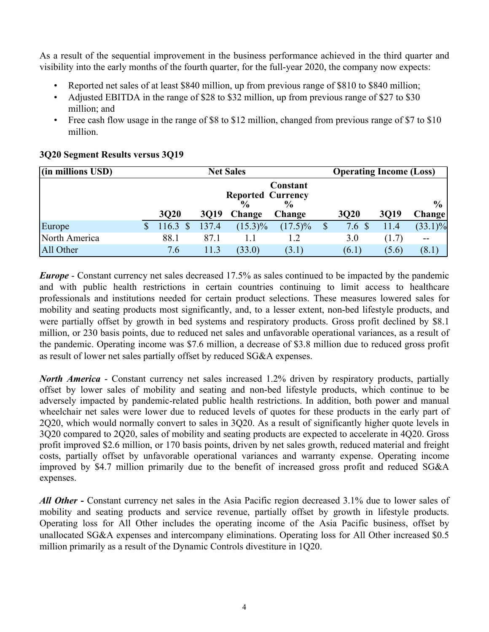As a result of the sequential improvement in the business performance achieved in the third quarter and visibility into the early months of the fourth quarter, for the full-year 2020, the company now expects:

- Reported net sales of at least \$840 million, up from previous range of \$810 to \$840 million;
- Adjusted EBITDA in the range of \$28 to \$32 million, up from previous range of \$27 to \$30 million; and
- Free cash flow usage in the range of \$8 to \$12 million, changed from previous range of \$7 to \$10 million.

| $(iin$ millions USD) |                       |             | <b>Net Sales</b>                          |                           | <b>Operating Income (Loss)</b> |             |             |                |
|----------------------|-----------------------|-------------|-------------------------------------------|---------------------------|--------------------------------|-------------|-------------|----------------|
|                      |                       |             | <b>Reported Currency</b><br>$\frac{0}{0}$ | Constant<br>$\frac{6}{9}$ |                                |             |             | $\frac{6}{10}$ |
|                      | <b>3Q20</b>           | <b>3019</b> | <b>Change</b>                             | Change                    |                                | <b>3Q20</b> | <b>3019</b> | <b>Change</b>  |
| Europe               | 116.3<br>$\mathbb{S}$ | 137.4       | $(15.3)\%$                                | $(17.5)\%$                |                                | 7.6         | 11.4        | $(33.1)\%$     |
| North America        | 88.1                  | 87.1        |                                           | 1.2                       |                                | 3.0         | (1.7)       | $\sim$ $\sim$  |
| All Other            | 7.6                   | 11.3        | (33.0)                                    | (3.1)                     |                                | (6.1)       | (5.6)       | (8.1)          |

### **3Q20 Segment Results versus 3Q19**

*Europe* - Constant currency net sales decreased 17.5% as sales continued to be impacted by the pandemic and with public health restrictions in certain countries continuing to limit access to healthcare professionals and institutions needed for certain product selections. These measures lowered sales for mobility and seating products most significantly, and, to a lesser extent, non-bed lifestyle products, and were partially offset by growth in bed systems and respiratory products. Gross profit declined by \$8.1 million, or 230 basis points, due to reduced net sales and unfavorable operational variances, as a result of the pandemic. Operating income was \$7.6 million, a decrease of \$3.8 million due to reduced gross profit as result of lower net sales partially offset by reduced SG&A expenses.

*North America* - Constant currency net sales increased 1.2% driven by respiratory products, partially offset by lower sales of mobility and seating and non-bed lifestyle products, which continue to be adversely impacted by pandemic-related public health restrictions. In addition, both power and manual wheelchair net sales were lower due to reduced levels of quotes for these products in the early part of 2Q20, which would normally convert to sales in 3Q20. As a result of significantly higher quote levels in 3Q20 compared to 2Q20, sales of mobility and seating products are expected to accelerate in 4Q20. Gross profit improved \$2.6 million, or 170 basis points, driven by net sales growth, reduced material and freight costs, partially offset by unfavorable operational variances and warranty expense. Operating income improved by \$4.7 million primarily due to the benefit of increased gross profit and reduced SG&A expenses.

*All Other* **-** Constant currency net sales in the Asia Pacific region decreased 3.1% due to lower sales of mobility and seating products and service revenue, partially offset by growth in lifestyle products. Operating loss for All Other includes the operating income of the Asia Pacific business, offset by unallocated SG&A expenses and intercompany eliminations. Operating loss for All Other increased \$0.5 million primarily as a result of the Dynamic Controls divestiture in 1Q20.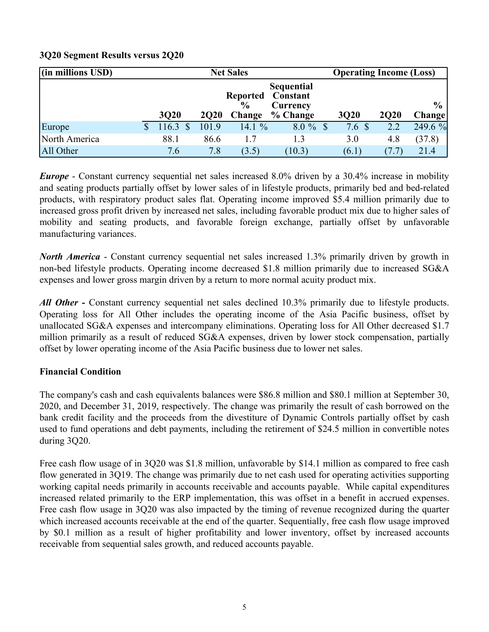| (in millions USD) |             |             | <b>Net Sales</b>                 |                                    | <b>Operating Income (Loss)</b> |                  |             |                |
|-------------------|-------------|-------------|----------------------------------|------------------------------------|--------------------------------|------------------|-------------|----------------|
|                   |             |             | <b>Reported</b><br>$\frac{6}{9}$ | Sequential<br>Constant<br>Currency |                                |                  |             | $\frac{6}{10}$ |
|                   | <b>3Q20</b> | <b>2Q20</b> | Change                           | % Change                           | <b>3Q20</b>                    |                  | <b>2Q20</b> | <b>Change</b>  |
| Europe            | 116.3       | 101.9       | 14.1 $%$                         | $8.0 \%$                           |                                | 7.6 <sup>°</sup> | 2.2         | 249.6 %        |
| North America     | 88.1        | 86.6        | 1.7                              | 1.3                                |                                | 3.0              | 4.8         | (37.8)         |
| All Other         | 7.6         | 7.8         | (3.5)                            | (10.3)                             |                                | (6.1)            | (7.7)       | 21.4           |

# **3Q20 Segment Results versus 2Q20**

*Europe* - Constant currency sequential net sales increased 8.0% driven by a 30.4% increase in mobility and seating products partially offset by lower sales of in lifestyle products, primarily bed and bed-related products, with respiratory product sales flat. Operating income improved \$5.4 million primarily due to increased gross profit driven by increased net sales, including favorable product mix due to higher sales of mobility and seating products, and favorable foreign exchange, partially offset by unfavorable manufacturing variances.

*North America* - Constant currency sequential net sales increased 1.3% primarily driven by growth in non-bed lifestyle products. Operating income decreased \$1.8 million primarily due to increased SG&A expenses and lower gross margin driven by a return to more normal acuity product mix.

*All Other* **-** Constant currency sequential net sales declined 10.3% primarily due to lifestyle products. Operating loss for All Other includes the operating income of the Asia Pacific business, offset by unallocated SG&A expenses and intercompany eliminations. Operating loss for All Other decreased \$1.7 million primarily as a result of reduced SG&A expenses, driven by lower stock compensation, partially offset by lower operating income of the Asia Pacific business due to lower net sales.

### **Financial Condition**

The company's cash and cash equivalents balances were \$86.8 million and \$80.1 million at September 30, 2020, and December 31, 2019, respectively. The change was primarily the result of cash borrowed on the bank credit facility and the proceeds from the divestiture of Dynamic Controls partially offset by cash used to fund operations and debt payments, including the retirement of \$24.5 million in convertible notes during 3Q20.

Free cash flow usage of in 3Q20 was \$1.8 million, unfavorable by \$14.1 million as compared to free cash flow generated in 3Q19. The change was primarily due to net cash used for operating activities supporting working capital needs primarily in accounts receivable and accounts payable. While capital expenditures increased related primarily to the ERP implementation, this was offset in a benefit in accrued expenses. Free cash flow usage in 3Q20 was also impacted by the timing of revenue recognized during the quarter which increased accounts receivable at the end of the quarter. Sequentially, free cash flow usage improved by \$0.1 million as a result of higher profitability and lower inventory, offset by increased accounts receivable from sequential sales growth, and reduced accounts payable.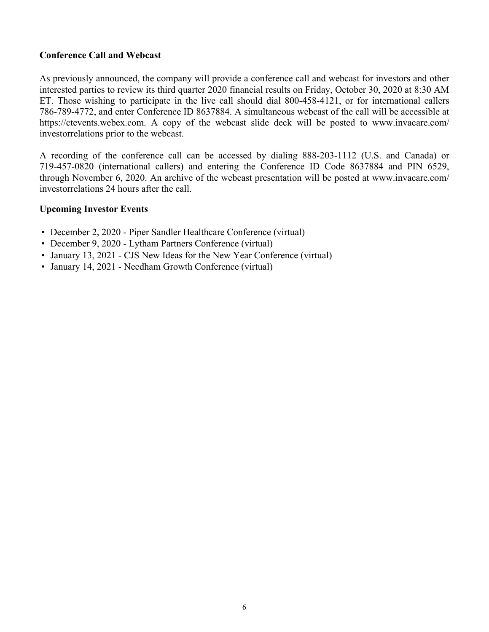#### **Conference Call and Webcast**

As previously announced, the company will provide a conference call and webcast for investors and other interested parties to review its third quarter 2020 financial results on Friday, October 30, 2020 at 8:30 AM ET. Those wishing to participate in the live call should dial 800-458-4121, or for international callers 786-789-4772, and enter Conference ID 8637884. A simultaneous webcast of the call will be accessible at https://ctevents.webex.com. A copy of the webcast slide deck will be posted to www.invacare.com/ investorrelations prior to the webcast.

A recording of the conference call can be accessed by dialing 888-203-1112 (U.S. and Canada) or 719-457-0820 (international callers) and entering the Conference ID Code 8637884 and PIN 6529, through November 6, 2020. An archive of the webcast presentation will be posted at www.invacare.com/ investorrelations 24 hours after the call.

#### **Upcoming Investor Events**

- December 2, 2020 Piper Sandler Healthcare Conference (virtual)
- December 9, 2020 Lytham Partners Conference (virtual)
- January 13, 2021 CJS New Ideas for the New Year Conference (virtual)
- January 14, 2021 Needham Growth Conference (virtual)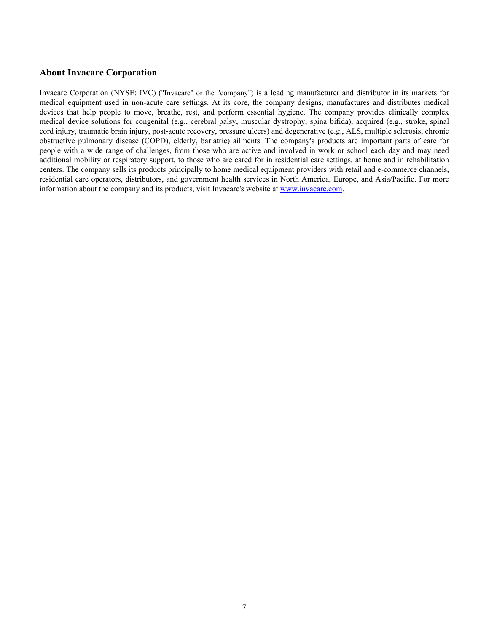#### **About Invacare Corporation**

Invacare Corporation (NYSE: IVC) ("Invacare" or the "company") is a leading manufacturer and distributor in its markets for medical equipment used in non-acute care settings. At its core, the company designs, manufactures and distributes medical devices that help people to move, breathe, rest, and perform essential hygiene. The company provides clinically complex medical device solutions for congenital (e.g., cerebral palsy, muscular dystrophy, spina bifida), acquired (e.g., stroke, spinal cord injury, traumatic brain injury, post-acute recovery, pressure ulcers) and degenerative (e.g., ALS, multiple sclerosis, chronic obstructive pulmonary disease (COPD), elderly, bariatric) ailments. The company's products are important parts of care for people with a wide range of challenges, from those who are active and involved in work or school each day and may need additional mobility or respiratory support, to those who are cared for in residential care settings, at home and in rehabilitation centers. The company sells its products principally to home medical equipment providers with retail and e-commerce channels, residential care operators, distributors, and government health services in North America, Europe, and Asia/Pacific. For more information about the company and its products, visit Invacare's website at www.invacare.com.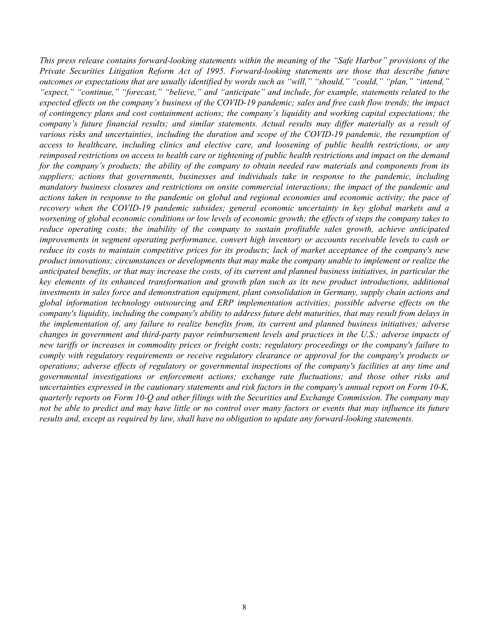*This press release contains forward-looking statements within the meaning of the "Safe Harbor" provisions of the Private Securities Litigation Reform Act of 1995. Forward-looking statements are those that describe future outcomes or expectations that are usually identified by words such as "will," "should," "could," "plan," "intend," "expect," "continue," "forecast," "believe," and "anticipate" and include, for example, statements related to the expected effects on the company's business of the COVID-19 pandemic; sales and free cash flow trends; the impact of contingency plans and cost containment actions; the company's liquidity and working capital expectations; the company's future financial results; and similar statements. Actual results may differ materially as a result of various risks and uncertainties, including the duration and scope of the COVID-19 pandemic, the resumption of access to healthcare, including clinics and elective care, and loosening of public health restrictions, or any reimposed restrictions on access to health care or tightening of public health restrictions and impact on the demand for the company's products; the ability of the company to obtain needed raw materials and components from its suppliers; actions that governments, businesses and individuals take in response to the pandemic, including mandatory business closures and restrictions on onsite commercial interactions; the impact of the pandemic and actions taken in response to the pandemic on global and regional economies and economic activity; the pace of recovery when the COVID-19 pandemic subsides; general economic uncertainty in key global markets and a worsening of global economic conditions or low levels of economic growth; the effects of steps the company takes to reduce operating costs; the inability of the company to sustain profitable sales growth, achieve anticipated improvements in segment operating performance, convert high inventory or accounts receivable levels to cash or reduce its costs to maintain competitive prices for its products; lack of market acceptance of the company's new product innovations; circumstances or developments that may make the company unable to implement or realize the anticipated benefits, or that may increase the costs, of its current and planned business initiatives, in particular the key elements of its enhanced transformation and growth plan such as its new product introductions, additional investments in sales force and demonstration equipment, plant consolidation in Germany, supply chain actions and global information technology outsourcing and ERP implementation activities; possible adverse effects on the company's liquidity, including the company's ability to address future debt maturities, that may result from delays in the implementation of, any failure to realize benefits from, its current and planned business initiatives; adverse changes in government and third-party payor reimbursement levels and practices in the U.S.; adverse impacts of new tariffs or increases in commodity prices or freight costs; regulatory proceedings or the company's failure to comply with regulatory requirements or receive regulatory clearance or approval for the company's products or operations; adverse effects of regulatory or governmental inspections of the company's facilities at any time and governmental investigations or enforcement actions; exchange rate fluctuations; and those other risks and uncertainties expressed in the cautionary statements and risk factors in the company's annual report on Form 10-K, quarterly reports on Form 10-Q and other filings with the Securities and Exchange Commission. The company may*  not be able to predict and may have little or no control over many factors or events that may influence its future *results and, except as required by law, shall have no obligation to update any forward-looking statements.*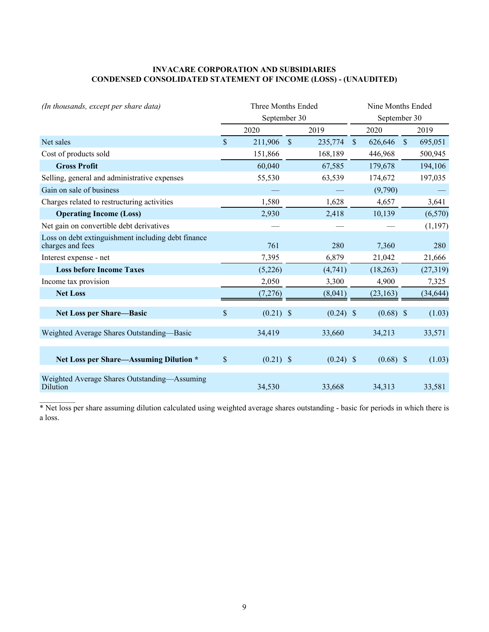#### **INVACARE CORPORATION AND SUBSIDIARIES CONDENSED CONSOLIDATED STATEMENT OF INCOME (LOSS) - (UNAUDITED)**

| (In thousands, except per share data)                                  | Three Months Ended |              |               |             |              | Nine Months Ended |              |           |  |
|------------------------------------------------------------------------|--------------------|--------------|---------------|-------------|--------------|-------------------|--------------|-----------|--|
|                                                                        |                    | September 30 |               |             |              | September 30      |              |           |  |
|                                                                        |                    | 2020         |               | 2019        |              | 2020              |              | 2019      |  |
| Net sales                                                              | $\mathbf S$        | 211,906      | $\mathcal{S}$ | 235,774     | $\mathbb{S}$ | 626,646           | $\mathbb{S}$ | 695,051   |  |
| Cost of products sold                                                  |                    | 151,866      |               | 168,189     |              | 446,968           |              | 500,945   |  |
| <b>Gross Profit</b>                                                    |                    | 60,040       |               | 67,585      |              | 179,678           |              | 194,106   |  |
| Selling, general and administrative expenses                           |                    | 55,530       |               | 63,539      |              | 174,672           |              | 197,035   |  |
| Gain on sale of business                                               |                    |              |               |             |              | (9,790)           |              |           |  |
| Charges related to restructuring activities                            |                    | 1,580        |               | 1,628       |              | 4,657             |              | 3,641     |  |
| <b>Operating Income (Loss)</b>                                         |                    | 2,930        |               | 2,418       |              | 10,139            |              | (6,570)   |  |
| Net gain on convertible debt derivatives                               |                    |              |               |             |              |                   |              | (1, 197)  |  |
| Loss on debt extinguishment including debt finance<br>charges and fees |                    | 761          |               | 280         |              | 7,360             |              | 280       |  |
| Interest expense - net                                                 |                    | 7,395        |               | 6,879       |              | 21,042            |              | 21,666    |  |
| <b>Loss before Income Taxes</b>                                        |                    | (5,226)      |               | (4,741)     |              | (18, 263)         |              | (27, 319) |  |
| Income tax provision                                                   |                    | 2,050        |               | 3,300       |              | 4,900             |              | 7,325     |  |
| <b>Net Loss</b>                                                        |                    | (7,276)      |               | (8,041)     |              | (23, 163)         |              | (34, 644) |  |
| <b>Net Loss per Share-Basic</b>                                        | \$                 | $(0.21)$ \$  |               | $(0.24)$ \$ |              | $(0.68)$ \$       |              | (1.03)    |  |
| Weighted Average Shares Outstanding-Basic                              |                    | 34,419       |               | 33,660      |              | 34,213            |              | 33,571    |  |
| Net Loss per Share—Assuming Dilution *                                 | $\mathsf{\$}$      | $(0.21)$ \$  |               | $(0.24)$ \$ |              | $(0.68)$ \$       |              | (1.03)    |  |
| Weighted Average Shares Outstanding—Assuming<br>Dilution               |                    | 34,530       |               | 33,668      |              | 34,313            |              | 33,581    |  |

\* Net loss per share assuming dilution calculated using weighted average shares outstanding - basic for periods in which there is a loss.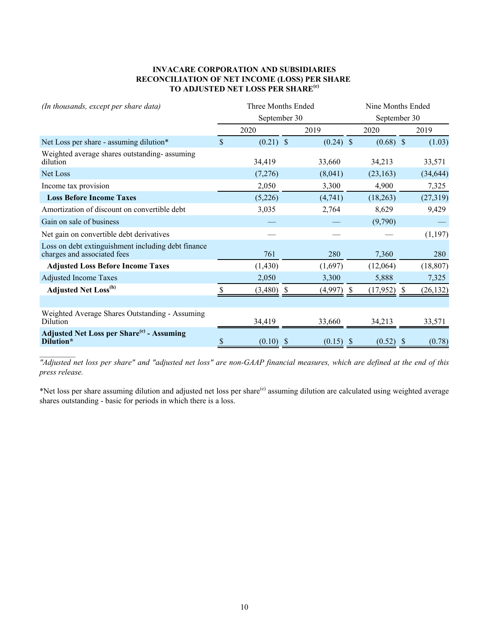#### **INVACARE CORPORATION AND SUBSIDIARIES RECONCILIATION OF NET INCOME (LOSS) PER SHARE TO ADJUSTED NET LOSS PER SHARE(e)**

| (In thousands, except per share data)                                             | Three Months Ended |              |  |             |              | Nine Months Ended |  |           |  |
|-----------------------------------------------------------------------------------|--------------------|--------------|--|-------------|--------------|-------------------|--|-----------|--|
|                                                                                   |                    | September 30 |  |             | September 30 |                   |  |           |  |
|                                                                                   |                    | 2020         |  | 2019        |              | 2020              |  | 2019      |  |
| Net Loss per share - assuming dilution*                                           | \$                 | $(0.21)$ \$  |  | $(0.24)$ \$ |              | $(0.68)$ \$       |  | (1.03)    |  |
| Weighted average shares outstanding-assuming<br>dilution                          |                    | 34,419       |  | 33,660      |              | 34,213            |  | 33,571    |  |
| Net Loss                                                                          |                    | (7,276)      |  | (8,041)     |              | (23, 163)         |  | (34, 644) |  |
| Income tax provision                                                              |                    | 2,050        |  | 3,300       |              | 4,900             |  | 7,325     |  |
| <b>Loss Before Income Taxes</b>                                                   |                    | (5,226)      |  | (4,741)     |              | (18, 263)         |  | (27, 319) |  |
| Amortization of discount on convertible debt                                      |                    | 3,035        |  | 2,764       |              | 8,629             |  | 9,429     |  |
| Gain on sale of business                                                          |                    |              |  |             |              | (9,790)           |  |           |  |
| Net gain on convertible debt derivatives                                          |                    |              |  |             |              |                   |  | (1, 197)  |  |
| Loss on debt extinguishment including debt finance<br>charges and associated fees |                    | 761          |  | 280         |              | 7,360             |  | 280       |  |
| <b>Adjusted Loss Before Income Taxes</b>                                          |                    | (1, 430)     |  | (1,697)     |              | (12,064)          |  | (18, 807) |  |
| <b>Adjusted Income Taxes</b>                                                      |                    | 2,050        |  | 3,300       |              | 5,888             |  | 7,325     |  |
| <b>Adjusted Net Loss</b> <sup>(h)</sup>                                           |                    | (3,480)      |  | (4,997)     | $\mathbb{S}$ | $(17,952)$ \$     |  | (26, 132) |  |
|                                                                                   |                    |              |  |             |              |                   |  |           |  |
| Weighted Average Shares Outstanding - Assuming<br>Dilution                        |                    | 34.419       |  | 33,660      |              | 34.213            |  | 33,571    |  |
| <b>Adjusted Net Loss per Share<sup>(e)</sup></b> - Assuming<br>Dilution*          |                    | (0.10)       |  | (0.15)      |              | (0.52)            |  | (0.78)    |  |

*"Adjusted net loss per share" and "adjusted net loss" are non-GAAP financial measures, which are defined at the end of this press release.* 

\*Net loss per share assuming dilution and adjusted net loss per share<sup>(e)</sup> assuming dilution are calculated using weighted average shares outstanding - basic for periods in which there is a loss.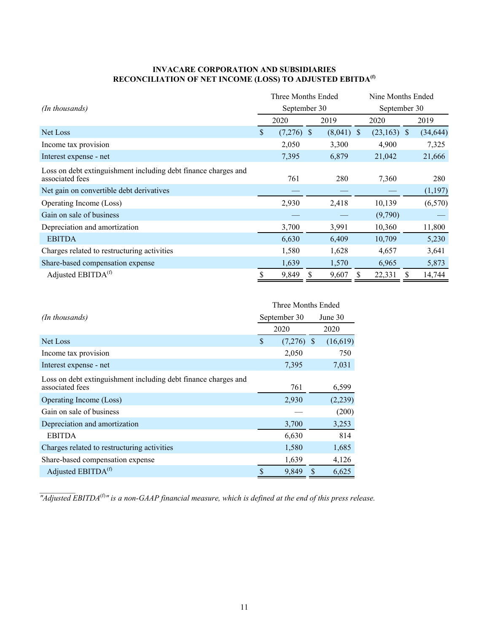#### **INVACARE CORPORATION AND SUBSIDIARIES RECONCILIATION OF NET INCOME (LOSS) TO ADJUSTED EBITDA(f)**

|                                                                                   | Three Months Ended |              |              | Nine Months Ended |  |           |  |  |
|-----------------------------------------------------------------------------------|--------------------|--------------|--------------|-------------------|--|-----------|--|--|
| (In thousands)                                                                    | September 30       |              |              | September 30      |  |           |  |  |
|                                                                                   | 2020               |              | 2019         | 2020              |  | 2019      |  |  |
| Net Loss                                                                          | \$<br>(7,276)      | <sup>S</sup> | $(8,041)$ \$ | $(23,163)$ \$     |  | (34, 644) |  |  |
| Income tax provision                                                              | 2,050              |              | 3,300        | 4,900             |  | 7,325     |  |  |
| Interest expense - net                                                            | 7,395              |              | 6,879        | 21,042            |  | 21,666    |  |  |
| Loss on debt extinguishment including debt finance charges and<br>associated fees | 761                |              | 280          | 7,360             |  | 280       |  |  |
| Net gain on convertible debt derivatives                                          |                    |              |              |                   |  | (1,197)   |  |  |
| Operating Income (Loss)                                                           | 2,930              |              | 2,418        | 10,139            |  | (6, 570)  |  |  |
| Gain on sale of business                                                          |                    |              |              | (9,790)           |  |           |  |  |
| Depreciation and amortization                                                     | 3,700              |              | 3,991        | 10,360            |  | 11,800    |  |  |
| <b>EBITDA</b>                                                                     | 6,630              |              | 6,409        | 10,709            |  | 5,230     |  |  |
| Charges related to restructuring activities                                       | 1,580              |              | 1,628        | 4,657             |  | 3,641     |  |  |
| Share-based compensation expense                                                  | 1,639              |              | 1,570        | 6,965             |  | 5,873     |  |  |
| Adjusted EBITDA <sup>(f)</sup>                                                    | 9,849              |              | 9,607        | 22,331            |  | 14,744    |  |  |

|                                                                |                    | Three Months Ended |          |  |  |  |
|----------------------------------------------------------------|--------------------|--------------------|----------|--|--|--|
| (In thousands)                                                 | September 30       |                    | June 30  |  |  |  |
|                                                                | 2020               |                    | 2020     |  |  |  |
| Net Loss                                                       | \$<br>$(7,276)$ \$ |                    | (16,619) |  |  |  |
| Income tax provision                                           | 2,050              |                    | 750      |  |  |  |
| Interest expense - net                                         | 7,395              |                    | 7,031    |  |  |  |
| Loss on debt extinguishment including debt finance charges and |                    |                    |          |  |  |  |
| associated fees                                                | 761                |                    | 6,599    |  |  |  |
| Operating Income (Loss)                                        | 2,930              |                    | (2,239)  |  |  |  |
| Gain on sale of business                                       |                    |                    | (200)    |  |  |  |
| Depreciation and amortization                                  | 3,700              |                    | 3,253    |  |  |  |
| <b>EBITDA</b>                                                  | 6,630              |                    | 814      |  |  |  |
| Charges related to restructuring activities                    | 1,580              |                    | 1,685    |  |  |  |
| Share-based compensation expense                               | 1,639              |                    | 4,126    |  |  |  |
| Adjusted EBITDA <sup>(f)</sup>                                 | 9,849              | S                  | 6,625    |  |  |  |

*"Adjusted EBITDA*<sup>(f)</sup>" is a non-GAAP financial measure, which is defined at the end of this press release.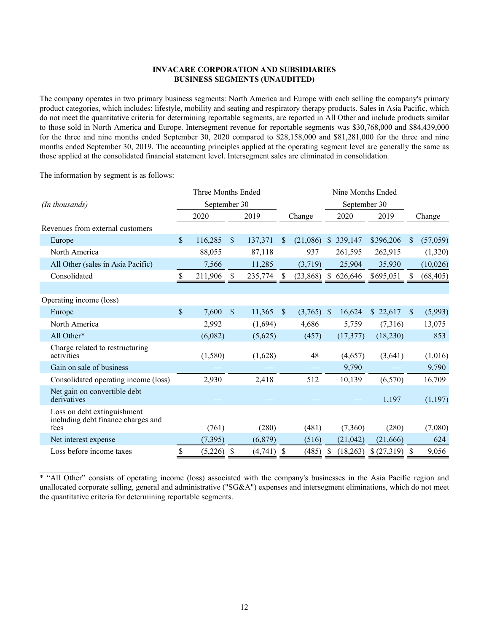#### **INVACARE CORPORATION AND SUBSIDIARIES BUSINESS SEGMENTS (UNAUDITED)**

The company operates in two primary business segments: North America and Europe with each selling the company's primary product categories, which includes: lifestyle, mobility and seating and respiratory therapy products. Sales in Asia Pacific, which do not meet the quantitative criteria for determining reportable segments, are reported in All Other and include products similar to those sold in North America and Europe. Intersegment revenue for reportable segments was \$30,768,000 and \$84,439,000 for the three and nine months ended September 30, 2020 compared to \$28,158,000 and \$81,281,000 for the three and nine months ended September 30, 2019. The accounting principles applied at the operating segment level are generally the same as those applied at the consolidated financial statement level. Intersegment sales are eliminated in consolidation.

The information by segment is as follows:

|                                                                           |                           | Three Months Ended |               |          |                           |               |              | Nine Months Ended |            |                           |           |
|---------------------------------------------------------------------------|---------------------------|--------------------|---------------|----------|---------------------------|---------------|--------------|-------------------|------------|---------------------------|-----------|
| (In thousands)                                                            |                           | September 30       |               |          |                           |               |              | September 30      |            |                           |           |
|                                                                           |                           | 2020               |               | 2019     |                           | Change        |              | 2020              | 2019       |                           | Change    |
| Revenues from external customers                                          |                           |                    |               |          |                           |               |              |                   |            |                           |           |
| Europe                                                                    | $\mathbb{S}$              | 116,285            | $\mathsf{\$}$ | 137,371  | S                         | (21,086)      | $\mathbb{S}$ | 339,147           | \$396,206  | $\mathbb{S}$              | (57,059)  |
| North America                                                             |                           | 88,055             |               | 87,118   |                           | 937           |              | 261,595           | 262,915    |                           | (1,320)   |
| All Other (sales in Asia Pacific)                                         |                           | 7,566              |               | 11,285   |                           | (3,719)       |              | 25,904            | 35,930     |                           | (10,026)  |
| Consolidated                                                              | <sup>S</sup>              | 211,906            | S.            | 235,774  | <sup>8</sup>              | $(23,868)$ \$ |              | 626,646           | \$695,051  | <sup>S</sup>              | (68, 405) |
|                                                                           |                           |                    |               |          |                           |               |              |                   |            |                           |           |
| Operating income (loss)                                                   |                           |                    |               |          |                           |               |              |                   |            |                           |           |
| Europe                                                                    | $\mathbb{S}$              | 7,600              | \$            | 11,365   | $\mathbb{S}$              | $(3,765)$ \$  |              | 16,624            | \$22,617   | $\mathcal{S}$             | (5,993)   |
| North America                                                             |                           | 2,992              |               | (1,694)  |                           | 4,686         |              | 5,759             | (7,316)    |                           | 13,075    |
| All Other*                                                                |                           | (6,082)            |               | (5,625)  |                           | (457)         |              | (17, 377)         | (18, 230)  |                           | 853       |
| Charge related to restructuring<br>activities                             |                           | (1,580)            |               | (1,628)  |                           | 48            |              | (4,657)           | (3,641)    |                           | (1,016)   |
| Gain on sale of business                                                  |                           |                    |               |          |                           |               |              | 9,790             |            |                           | 9,790     |
| Consolidated operating income (loss)                                      |                           | 2,930              |               | 2,418    |                           | 512           |              | 10,139            | (6,570)    |                           | 16,709    |
| Net gain on convertible debt<br>derivatives                               |                           |                    |               |          |                           |               |              |                   | 1,197      |                           | (1,197)   |
| Loss on debt extinguishment<br>including debt finance charges and<br>fees |                           | (761)              |               | (280)    |                           | (481)         |              | (7,360)           | (280)      |                           | (7,080)   |
| Net interest expense                                                      |                           | (7, 395)           |               | (6, 879) |                           | (516)         |              | (21, 042)         | (21,666)   |                           | 624       |
| Loss before income taxes                                                  | $\boldsymbol{\mathsf{S}}$ | $(5,226)$ \$       |               | (4,741)  | $\boldsymbol{\mathsf{S}}$ | (485)         | \$           | (18,263)          | \$(27,319) | $\boldsymbol{\mathsf{S}}$ | 9,056     |

\* "All Other" consists of operating income (loss) associated with the company's businesses in the Asia Pacific region and unallocated corporate selling, general and administrative ("SG&A") expenses and intersegment eliminations, which do not meet the quantitative criteria for determining reportable segments.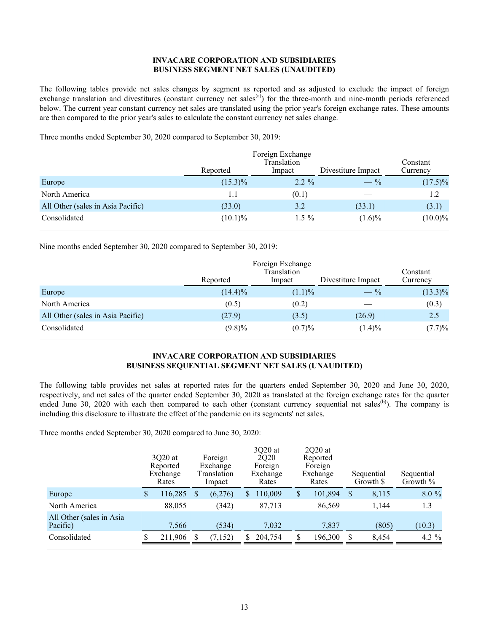#### **INVACARE CORPORATION AND SUBSIDIARIES BUSINESS SEGMENT NET SALES (UNAUDITED)**

The following tables provide net sales changes by segment as reported and as adjusted to exclude the impact of foreign exchange translation and divestitures (constant currency net sales $\binom{a}{b}$ ) for the three-month and nine-month periods referenced below. The current year constant currency net sales are translated using the prior year's foreign exchange rates. These amounts are then compared to the prior year's sales to calculate the constant currency net sales change.

Three months ended September 30, 2020 compared to September 30, 2019:

|                                   | Reported   | Divestiture Impact | Constant<br>Currency |            |  |
|-----------------------------------|------------|--------------------|----------------------|------------|--|
| Europe                            | $(15.3)\%$ | $2.2 \%$           | $- \frac{9}{6}$      | $(17.5)\%$ |  |
| North America                     | 1.1        | (0.1)              |                      | 1.2        |  |
| All Other (sales in Asia Pacific) | (33.0)     | 3.2                | (33.1)               | (3.1)      |  |
| Consolidated                      | $(10.1)\%$ | $1.5 \%$           | $(1.6)\%$            | $(10.0)\%$ |  |

Nine months ended September 30, 2020 compared to September 30, 2019:

|                                   | Reported   | Foreign Exchange<br>Translation<br>Impact | Divestiture Impact | Constant<br>Currency |
|-----------------------------------|------------|-------------------------------------------|--------------------|----------------------|
| Europe                            | $(14.4)\%$ | $(1.1)\%$                                 | $-$ %              | $(13.3)\%$           |
| North America                     | (0.5)      | (0.2)                                     |                    | (0.3)                |
| All Other (sales in Asia Pacific) | (27.9)     | (3.5)                                     | (26.9)             | 2.5                  |
| Consolidated                      | $(9.8)\%$  | (0.7)%                                    | $(1.4)\%$          | (7.7)%               |

#### **INVACARE CORPORATION AND SUBSIDIARIES BUSINESS SEQUENTIAL SEGMENT NET SALES (UNAUDITED)**

The following table provides net sales at reported rates for the quarters ended September 30, 2020 and June 30, 2020, respectively, and net sales of the quarter ended September 30, 2020 as translated at the foreign exchange rates for the quarter ended June 30, 2020 with each then compared to each other (constant currency sequential net sales<sup>(b)</sup>). The company is including this disclosure to illustrate the effect of the pandemic on its segments' net sales.

Three months ended September 30, 2020 compared to June 30, 2020:

|                                      | 3Q20 at<br>Reported<br>Exchange<br>Rates | Foreign<br>Exchange<br>Translation<br>Impact |    | 3Q20 at<br>2Q20<br>Foreign<br>Exchange<br>Rates | $2Q20$ at<br>Reported<br>Foreign<br>Exchange<br>Rates |         | Sequential<br>Growth \$ |       | Sequential<br>Growth % |         |
|--------------------------------------|------------------------------------------|----------------------------------------------|----|-------------------------------------------------|-------------------------------------------------------|---------|-------------------------|-------|------------------------|---------|
| Europe                               | \$<br>116,285                            | (6,276)                                      | S. | 110,009                                         | S                                                     | 101,894 | S                       | 8,115 |                        | 8.0 %   |
| North America                        | 88,055                                   | (342)                                        |    | 87,713                                          |                                                       | 86,569  |                         | 1,144 |                        | 1.3     |
| All Other (sales in Asia<br>Pacific) | 7,566                                    | (534)                                        |    | 7,032                                           |                                                       | 7,837   |                         | (805) |                        | (10.3)  |
| Consolidated                         | 211,906                                  | (7, 152)                                     | S. | 204,754                                         |                                                       | 196,300 |                         | 8,454 |                        | 4.3 $%$ |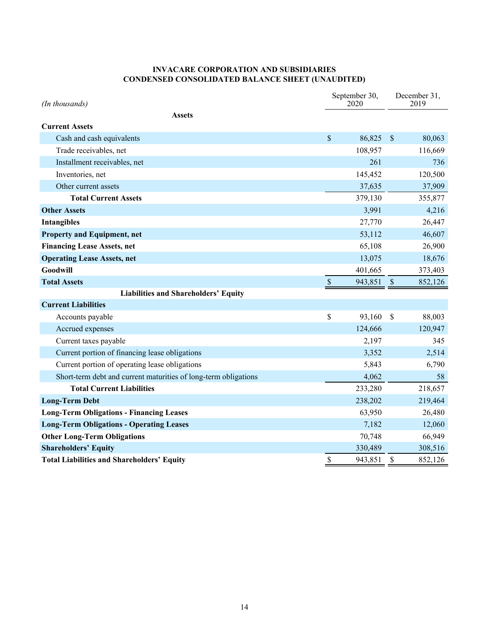#### **INVACARE CORPORATION AND SUBSIDIARIES CONDENSED CONSOLIDATED BALANCE SHEET (UNAUDITED)**

| (In thousands)                                                  |                           | September 30,<br>2020 | December 31,<br>2019 |         |  |
|-----------------------------------------------------------------|---------------------------|-----------------------|----------------------|---------|--|
| <b>Assets</b>                                                   |                           |                       |                      |         |  |
| <b>Current Assets</b>                                           |                           |                       |                      |         |  |
| Cash and cash equivalents                                       | \$                        | 86,825                | $\mathcal{S}$        | 80,063  |  |
| Trade receivables, net                                          |                           | 108,957               |                      | 116,669 |  |
| Installment receivables, net                                    |                           | 261                   |                      | 736     |  |
| Inventories, net                                                |                           | 145,452               |                      | 120,500 |  |
| Other current assets                                            |                           | 37,635                |                      | 37,909  |  |
| <b>Total Current Assets</b>                                     |                           | 379,130               |                      | 355,877 |  |
| <b>Other Assets</b>                                             |                           | 3,991                 |                      | 4,216   |  |
| <b>Intangibles</b>                                              |                           | 27,770                |                      | 26,447  |  |
| <b>Property and Equipment, net</b>                              |                           | 53,112                |                      | 46,607  |  |
| <b>Financing Lease Assets, net</b>                              |                           | 65,108                |                      | 26,900  |  |
| <b>Operating Lease Assets, net</b>                              |                           | 13,075                |                      | 18,676  |  |
| <b>Goodwill</b>                                                 |                           | 401,665               |                      | 373,403 |  |
| <b>Total Assets</b>                                             | $\boldsymbol{\mathsf{S}}$ | 943,851               | $\mathcal{S}$        | 852,126 |  |
| Liabilities and Shareholders' Equity                            |                           |                       |                      |         |  |
| <b>Current Liabilities</b>                                      |                           |                       |                      |         |  |
| Accounts payable                                                | \$                        | 93,160                | $\mathcal{S}$        | 88,003  |  |
| Accrued expenses                                                |                           | 124,666               |                      | 120,947 |  |
| Current taxes payable                                           |                           | 2,197                 |                      | 345     |  |
| Current portion of financing lease obligations                  |                           | 3,352                 |                      | 2,514   |  |
| Current portion of operating lease obligations                  |                           | 5,843                 |                      | 6,790   |  |
| Short-term debt and current maturities of long-term obligations |                           | 4,062                 |                      | 58      |  |
| <b>Total Current Liabilities</b>                                |                           | 233,280               |                      | 218,657 |  |
| <b>Long-Term Debt</b>                                           |                           | 238,202               |                      | 219,464 |  |
| <b>Long-Term Obligations - Financing Leases</b>                 |                           | 63,950                |                      | 26,480  |  |
| <b>Long-Term Obligations - Operating Leases</b>                 |                           | 7,182                 |                      | 12,060  |  |
| <b>Other Long-Term Obligations</b>                              |                           | 70,748                |                      | 66,949  |  |
| <b>Shareholders' Equity</b>                                     |                           | 330,489               |                      | 308,516 |  |
| <b>Total Liabilities and Shareholders' Equity</b>               | \$                        | 943,851               | \$                   | 852,126 |  |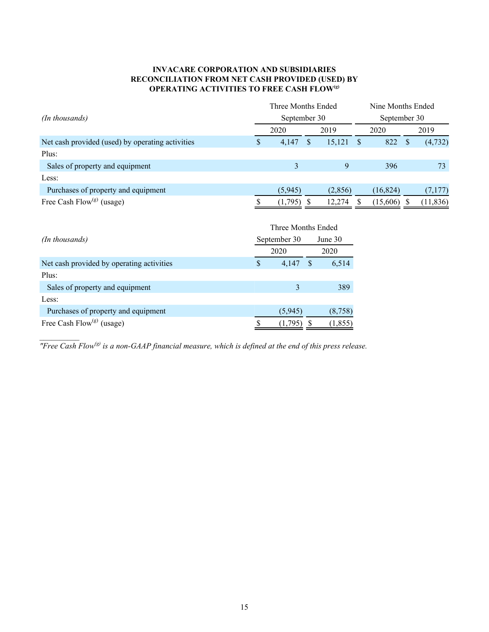#### **INVACARE CORPORATION AND SUBSIDIARIES RECONCILIATION FROM NET CASH PROVIDED (USED) BY OPERATING ACTIVITIES TO FREE CASH FLOW(g)**

|                                                  | Three Months Ended<br>September 30 |                    |                 |          |              | Nine Months Ended<br>September 30 |               |           |  |  |
|--------------------------------------------------|------------------------------------|--------------------|-----------------|----------|--------------|-----------------------------------|---------------|-----------|--|--|
| (In thousands)                                   |                                    |                    |                 |          |              |                                   |               |           |  |  |
|                                                  | 2020                               |                    |                 | 2019     | 2020         |                                   |               | 2019      |  |  |
| Net cash provided (used) by operating activities | \$                                 | 4,147              | $\mathbb{S}$    | 15,121   | <sup>S</sup> | 822                               | $\mathbf{\$}$ | (4, 732)  |  |  |
| Plus:                                            |                                    |                    |                 |          |              |                                   |               |           |  |  |
| Sales of property and equipment                  |                                    | 3                  |                 | 9        |              | 396                               |               | 73        |  |  |
| Less:                                            |                                    |                    |                 |          |              |                                   |               |           |  |  |
| Purchases of property and equipment              |                                    | (5,945)            |                 | (2, 856) |              | (16, 824)                         |               | (7,177)   |  |  |
| Free Cash Flow <sup>(g)</sup> (usage)            |                                    | $(1,795)$ \$       |                 | 12,274   | <sup>S</sup> | $(15,606)$ \$                     |               | (11, 836) |  |  |
|                                                  |                                    | Three Months Ended |                 |          |              |                                   |               |           |  |  |
| (In thousands)                                   | September 30<br>2020               |                    | June 30<br>2020 |          |              |                                   |               |           |  |  |
|                                                  |                                    |                    |                 |          |              |                                   |               |           |  |  |
| Net cash provided by operating activities        | \$                                 | 4,147              | $\mathbb{S}$    | 6,514    |              |                                   |               |           |  |  |
| Plus:                                            |                                    |                    |                 |          |              |                                   |               |           |  |  |
| Sales of property and equipment                  |                                    | 3                  |                 | 389      |              |                                   |               |           |  |  |
| Less:                                            |                                    |                    |                 |          |              |                                   |               |           |  |  |
| Purchases of property and equipment              |                                    | (5,945)            |                 | (8,758)  |              |                                   |               |           |  |  |
| Free Cash Flow <sup>(g)</sup> (usage)            | \$                                 | $(1,795)$ \$       |                 | (1, 855) |              |                                   |               |           |  |  |

*"Free Cash Flow(g) is a non-GAAP financial measure, which is defined at the end of this press release.*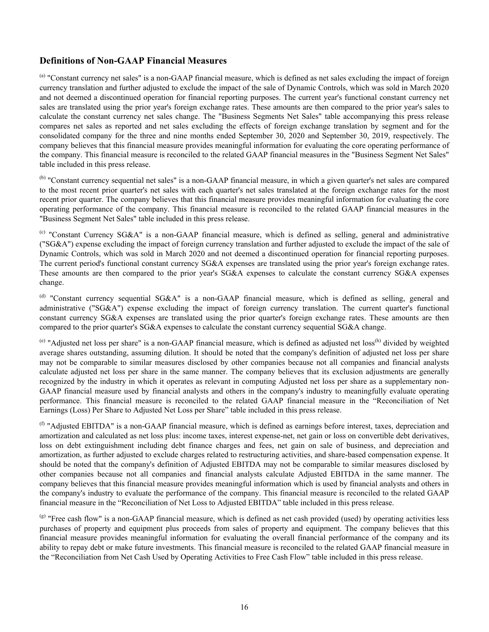#### **Definitions of Non-GAAP Financial Measures**

<sup>(a)</sup> "Constant currency net sales" is a non-GAAP financial measure, which is defined as net sales excluding the impact of foreign currency translation and further adjusted to exclude the impact of the sale of Dynamic Controls, which was sold in March 2020 and not deemed a discontinued operation for financial reporting purposes. The current year's functional constant currency net sales are translated using the prior year's foreign exchange rates. These amounts are then compared to the prior year's sales to calculate the constant currency net sales change. The "Business Segments Net Sales" table accompanying this press release compares net sales as reported and net sales excluding the effects of foreign exchange translation by segment and for the consolidated company for the three and nine months ended September 30, 2020 and September 30, 2019, respectively. The company believes that this financial measure provides meaningful information for evaluating the core operating performance of the company. This financial measure is reconciled to the related GAAP financial measures in the "Business Segment Net Sales" table included in this press release.

(b) "Constant currency sequential net sales" is a non-GAAP financial measure, in which a given quarter's net sales are compared to the most recent prior quarter's net sales with each quarter's net sales translated at the foreign exchange rates for the most recent prior quarter. The company believes that this financial measure provides meaningful information for evaluating the core operating performance of the company. This financial measure is reconciled to the related GAAP financial measures in the "Business Segment Net Sales" table included in this press release.

 $^{(c)}$  "Constant Currency SG&A" is a non-GAAP financial measure, which is defined as selling, general and administrative ("SG&A") expense excluding the impact of foreign currency translation and further adjusted to exclude the impact of the sale of Dynamic Controls, which was sold in March 2020 and not deemed a discontinued operation for financial reporting purposes. The current period's functional constant currency SG&A expenses are translated using the prior year's foreign exchange rates. These amounts are then compared to the prior year's SG&A expenses to calculate the constant currency SG&A expenses change.

(d) "Constant currency sequential SG&A" is a non-GAAP financial measure, which is defined as selling, general and administrative ("SG&A") expense excluding the impact of foreign currency translation. The current quarter's functional constant currency SG&A expenses are translated using the prior quarter's foreign exchange rates. These amounts are then compared to the prior quarter's SG&A expenses to calculate the constant currency sequential SG&A change.

 $^{(e)}$  "Adjusted net loss per share" is a non-GAAP financial measure, which is defined as adjusted net loss<sup>(h)</sup> divided by weighted average shares outstanding, assuming dilution. It should be noted that the company's definition of adjusted net loss per share may not be comparable to similar measures disclosed by other companies because not all companies and financial analysts calculate adjusted net loss per share in the same manner. The company believes that its exclusion adjustments are generally recognized by the industry in which it operates as relevant in computing Adjusted net loss per share as a supplementary non-GAAP financial measure used by financial analysts and others in the company's industry to meaningfully evaluate operating performance. This financial measure is reconciled to the related GAAP financial measure in the "Reconciliation of Net Earnings (Loss) Per Share to Adjusted Net Loss per Share" table included in this press release.

 $<sup>(f)</sup>$  "Adjusted EBITDA" is a non-GAAP financial measure, which is defined as earnings before interest, taxes, depreciation and</sup> amortization and calculated as net loss plus: income taxes, interest expense-net, net gain or loss on convertible debt derivatives, loss on debt extinguishment including debt finance charges and fees, net gain on sale of business, and depreciation and amortization, as further adjusted to exclude charges related to restructuring activities, and share-based compensation expense. It should be noted that the company's definition of Adjusted EBITDA may not be comparable to similar measures disclosed by other companies because not all companies and financial analysts calculate Adjusted EBITDA in the same manner. The company believes that this financial measure provides meaningful information which is used by financial analysts and others in the company's industry to evaluate the performance of the company. This financial measure is reconciled to the related GAAP financial measure in the "Reconciliation of Net Loss to Adjusted EBITDA" table included in this press release.

(g) "Free cash flow" is a non-GAAP financial measure, which is defined as net cash provided (used) by operating activities less purchases of property and equipment plus proceeds from sales of property and equipment. The company believes that this financial measure provides meaningful information for evaluating the overall financial performance of the company and its ability to repay debt or make future investments. This financial measure is reconciled to the related GAAP financial measure in the "Reconciliation from Net Cash Used by Operating Activities to Free Cash Flow" table included in this press release.